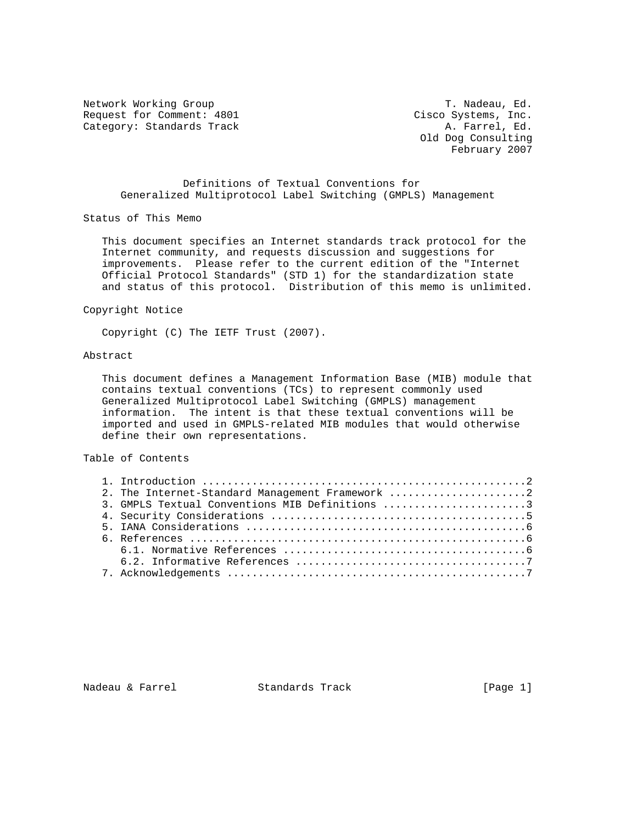Network Working Group T. Nadeau, Ed. Request for Comment: 4801 Cisco Systems, Inc. Category: Standards Track A. Farrel, Ed.

 Old Dog Consulting February 2007

 Definitions of Textual Conventions for Generalized Multiprotocol Label Switching (GMPLS) Management

Status of This Memo

 This document specifies an Internet standards track protocol for the Internet community, and requests discussion and suggestions for improvements. Please refer to the current edition of the "Internet Official Protocol Standards" (STD 1) for the standardization state and status of this protocol. Distribution of this memo is unlimited.

Copyright Notice

Copyright (C) The IETF Trust (2007).

# Abstract

 This document defines a Management Information Base (MIB) module that contains textual conventions (TCs) to represent commonly used Generalized Multiprotocol Label Switching (GMPLS) management information. The intent is that these textual conventions will be imported and used in GMPLS-related MIB modules that would otherwise define their own representations.

## Table of Contents

|  | 2. The Internet-Standard Management Framework 2 |  |
|--|-------------------------------------------------|--|
|  | 3. GMPLS Textual Conventions MIB Definitions 3  |  |
|  |                                                 |  |
|  |                                                 |  |
|  |                                                 |  |
|  |                                                 |  |
|  |                                                 |  |
|  |                                                 |  |

Nadeau & Farrel Standards Track [Page 1]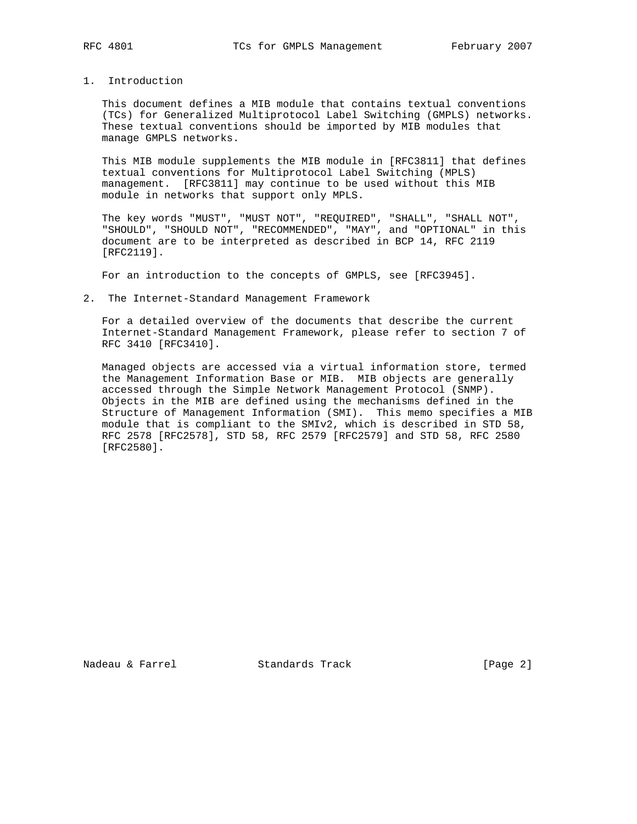## 1. Introduction

 This document defines a MIB module that contains textual conventions (TCs) for Generalized Multiprotocol Label Switching (GMPLS) networks. These textual conventions should be imported by MIB modules that manage GMPLS networks.

 This MIB module supplements the MIB module in [RFC3811] that defines textual conventions for Multiprotocol Label Switching (MPLS) management. [RFC3811] may continue to be used without this MIB module in networks that support only MPLS.

 The key words "MUST", "MUST NOT", "REQUIRED", "SHALL", "SHALL NOT", "SHOULD", "SHOULD NOT", "RECOMMENDED", "MAY", and "OPTIONAL" in this document are to be interpreted as described in BCP 14, RFC 2119 [RFC2119].

For an introduction to the concepts of GMPLS, see [RFC3945].

#### 2. The Internet-Standard Management Framework

 For a detailed overview of the documents that describe the current Internet-Standard Management Framework, please refer to section 7 of RFC 3410 [RFC3410].

 Managed objects are accessed via a virtual information store, termed the Management Information Base or MIB. MIB objects are generally accessed through the Simple Network Management Protocol (SNMP). Objects in the MIB are defined using the mechanisms defined in the Structure of Management Information (SMI). This memo specifies a MIB module that is compliant to the SMIv2, which is described in STD 58, RFC 2578 [RFC2578], STD 58, RFC 2579 [RFC2579] and STD 58, RFC 2580 [RFC2580].

Nadeau & Farrel Standards Track [Page 2]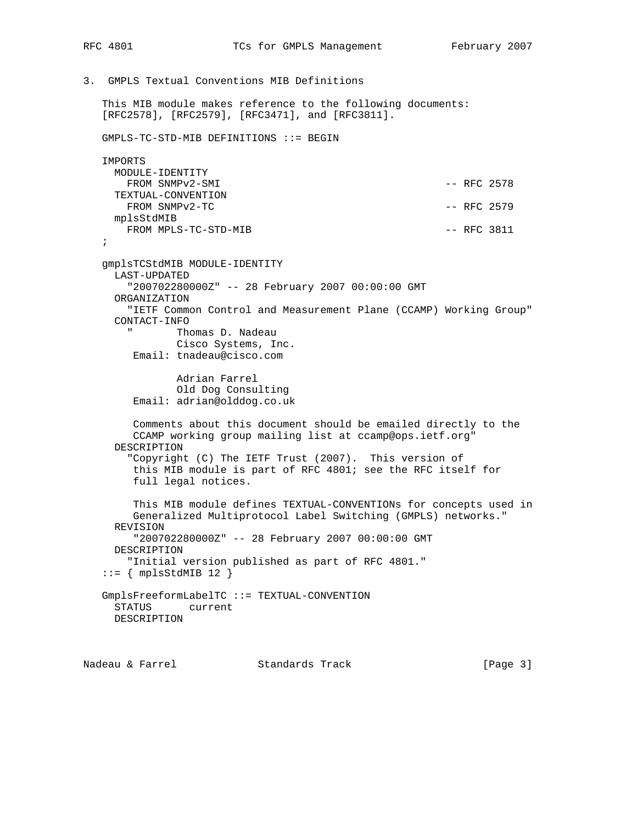3. GMPLS Textual Conventions MIB Definitions

 This MIB module makes reference to the following documents: [RFC2578], [RFC2579], [RFC3471], and [RFC3811].

GMPLS-TC-STD-MIB DEFINITIONS ::= BEGIN

| IMPORTS              |  |               |
|----------------------|--|---------------|
| MODULE-IDENTITY      |  |               |
| FROM SNMPv2-SMI      |  | $--$ RFC 2578 |
| TEXTUAL-CONVENTION   |  |               |
| FROM SNMPv2-TC       |  | $--$ RFC 2579 |
| mplsStdMIB           |  |               |
| FROM MPLS-TC-STD-MIB |  | $--$ RFC 3811 |

 ; gmplsTCStdMIB MODULE-IDENTITY LAST-UPDATED "200702280000Z" -- 28 February 2007 00:00:00 GMT ORGANIZATION "IETF Common Control and Measurement Plane (CCAMP) Working Group" CONTACT-INFO " Thomas D. Nadeau Cisco Systems, Inc. Email: tnadeau@cisco.com Adrian Farrel Old Dog Consulting Email: adrian@olddog.co.uk Comments about this document should be emailed directly to the CCAMP working group mailing list at ccamp@ops.ietf.org" DESCRIPTION "Copyright (C) The IETF Trust (2007). This version of this MIB module is part of RFC 4801; see the RFC itself for full legal notices. This MIB module defines TEXTUAL-CONVENTIONs for concepts used in Generalized Multiprotocol Label Switching (GMPLS) networks." REVISION "200702280000Z" -- 28 February 2007 00:00:00 GMT DESCRIPTION "Initial version published as part of RFC 4801."  $::=$  { mplsStdMIB 12 } GmplsFreeformLabelTC ::= TEXTUAL-CONVENTION STATUS current DESCRIPTION

```
Nadeau & Farrel             Standards Track                 [Page 3]
```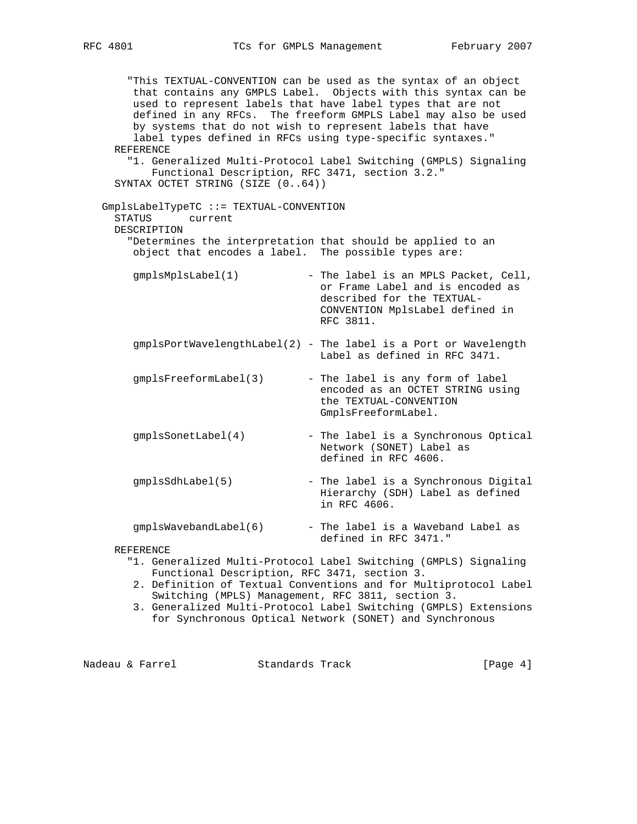"This TEXTUAL-CONVENTION can be used as the syntax of an object that contains any GMPLS Label. Objects with this syntax can be used to represent labels that have label types that are not defined in any RFCs. The freeform GMPLS Label may also be used by systems that do not wish to represent labels that have label types defined in RFCs using type-specific syntaxes." REFERENCE "1. Generalized Multi-Protocol Label Switching (GMPLS) Signaling Functional Description, RFC 3471, section 3.2." SYNTAX OCTET STRING (SIZE (0..64)) GmplsLabelTypeTC ::= TEXTUAL-CONVENTION STATUS current DESCRIPTION "Determines the interpretation that should be applied to an object that encodes a label. The possible types are: gmplsMplsLabel(1) - The label is an MPLS Packet, Cell, or Frame Label and is encoded as described for the TEXTUAL- CONVENTION MplsLabel defined in RFC 3811. gmplsPortWavelengthLabel(2) - The label is a Port or Wavelength Label as defined in RFC 3471. gmplsFreeformLabel(3) - The label is any form of label encoded as an OCTET STRING using the TEXTUAL-CONVENTION GmplsFreeformLabel.

- gmplsSonetLabel(4) The label is a Synchronous Optical Network (SONET) Label as defined in RFC 4606.
- gmplsSdhLabel(5) The label is a Synchronous Digital Hierarchy (SDH) Label as defined in RFC 4606.
- gmplsWavebandLabel(6) The label is a Waveband Label as defined in RFC 3471."

REFERENCE

- "1. Generalized Multi-Protocol Label Switching (GMPLS) Signaling Functional Description, RFC 3471, section 3.
- 2. Definition of Textual Conventions and for Multiprotocol Label Switching (MPLS) Management, RFC 3811, section 3.
- 3. Generalized Multi-Protocol Label Switching (GMPLS) Extensions for Synchronous Optical Network (SONET) and Synchronous

Nadeau & Farrel Standards Track [Page 4]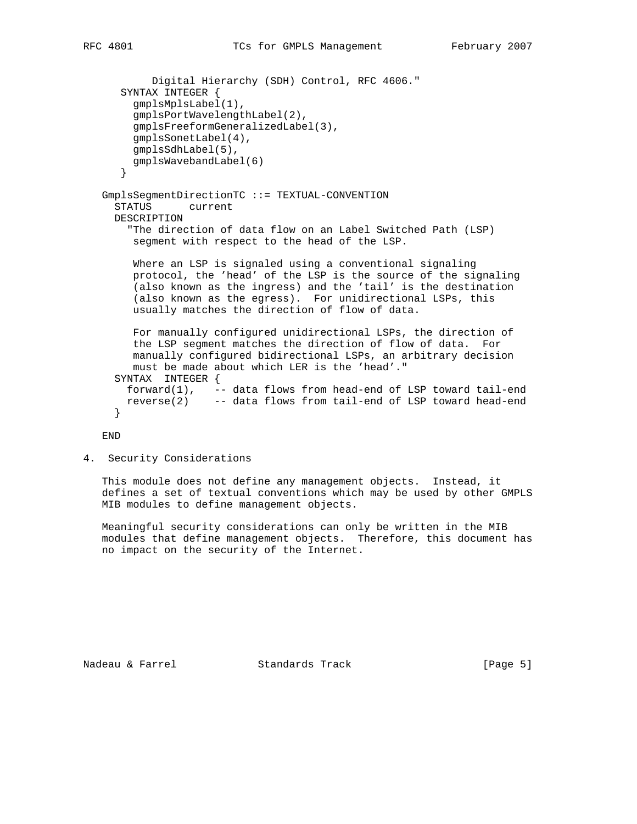```
 Digital Hierarchy (SDH) Control, RFC 4606."
   SYNTAX INTEGER {
     gmplsMplsLabel(1),
     gmplsPortWavelengthLabel(2),
     gmplsFreeformGeneralizedLabel(3),
     gmplsSonetLabel(4),
     gmplsSdhLabel(5),
     gmplsWavebandLabel(6)
   }
GmplsSegmentDirectionTC ::= TEXTUAL-CONVENTION
  STATUS current
 DESCRIPTION
    "The direction of data flow on an Label Switched Path (LSP)
     segment with respect to the head of the LSP.
    Where an LSP is signaled using a conventional signaling
    protocol, the 'head' of the LSP is the source of the signaling
     (also known as the ingress) and the 'tail' is the destination
     (also known as the egress). For unidirectional LSPs, this
    usually matches the direction of flow of data.
    For manually configured unidirectional LSPs, the direction of
    the LSP segment matches the direction of flow of data. For
    manually configured bidirectional LSPs, an arbitrary decision
    must be made about which LER is the 'head'."
  SYNTAX INTEGER {
    forward(1), -- data flows from head-end of LSP toward tail-end
   reverse(2) -- data flows from tail-end of LSP toward head-end
  }
```
END

4. Security Considerations

 This module does not define any management objects. Instead, it defines a set of textual conventions which may be used by other GMPLS MIB modules to define management objects.

 Meaningful security considerations can only be written in the MIB modules that define management objects. Therefore, this document has no impact on the security of the Internet.

Nadeau & Farrel Standards Track [Page 5]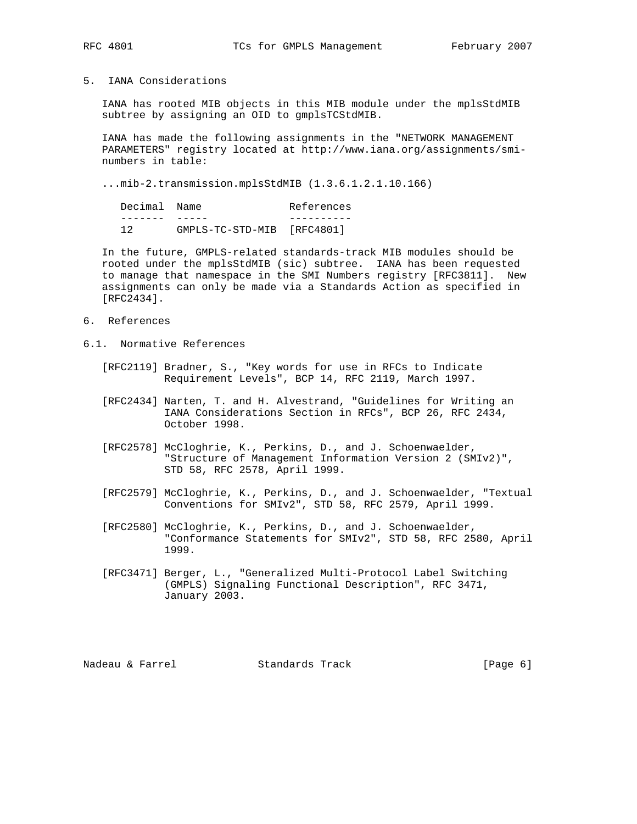## 5. IANA Considerations

 IANA has rooted MIB objects in this MIB module under the mplsStdMIB subtree by assigning an OID to gmplsTCStdMIB.

 IANA has made the following assignments in the "NETWORK MANAGEMENT PARAMETERS" registry located at http://www.iana.org/assignments/smi numbers in table:

...mib-2.transmission.mplsStdMIB (1.3.6.1.2.1.10.166)

| Decimal Name |                            | References |
|--------------|----------------------------|------------|
|              |                            |            |
|              | GMPLS-TC-STD-MIB [RFC4801] |            |

 In the future, GMPLS-related standards-track MIB modules should be rooted under the mplsStdMIB (sic) subtree. IANA has been requested to manage that namespace in the SMI Numbers registry [RFC3811]. New assignments can only be made via a Standards Action as specified in [RFC2434].

- 6. References
- 6.1. Normative References
	- [RFC2119] Bradner, S., "Key words for use in RFCs to Indicate Requirement Levels", BCP 14, RFC 2119, March 1997.
	- [RFC2434] Narten, T. and H. Alvestrand, "Guidelines for Writing an IANA Considerations Section in RFCs", BCP 26, RFC 2434, October 1998.
	- [RFC2578] McCloghrie, K., Perkins, D., and J. Schoenwaelder, "Structure of Management Information Version 2 (SMIv2)", STD 58, RFC 2578, April 1999.
	- [RFC2579] McCloghrie, K., Perkins, D., and J. Schoenwaelder, "Textual Conventions for SMIv2", STD 58, RFC 2579, April 1999.
	- [RFC2580] McCloghrie, K., Perkins, D., and J. Schoenwaelder, "Conformance Statements for SMIv2", STD 58, RFC 2580, April 1999.
	- [RFC3471] Berger, L., "Generalized Multi-Protocol Label Switching (GMPLS) Signaling Functional Description", RFC 3471, January 2003.

Nadeau & Farrel Standards Track (Page 6)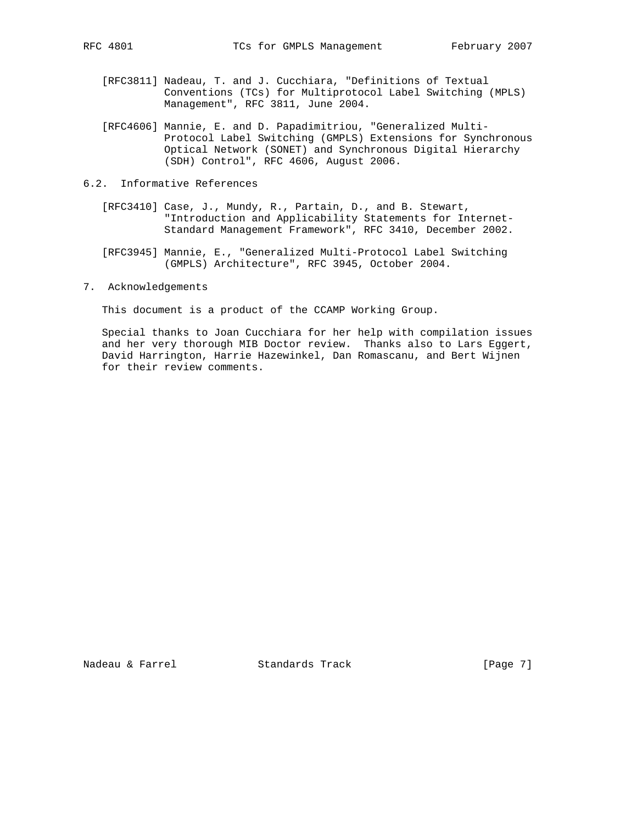- [RFC3811] Nadeau, T. and J. Cucchiara, "Definitions of Textual Conventions (TCs) for Multiprotocol Label Switching (MPLS) Management", RFC 3811, June 2004.
- [RFC4606] Mannie, E. and D. Papadimitriou, "Generalized Multi- Protocol Label Switching (GMPLS) Extensions for Synchronous Optical Network (SONET) and Synchronous Digital Hierarchy (SDH) Control", RFC 4606, August 2006.
- 6.2. Informative References
	- [RFC3410] Case, J., Mundy, R., Partain, D., and B. Stewart, "Introduction and Applicability Statements for Internet- Standard Management Framework", RFC 3410, December 2002.
	- [RFC3945] Mannie, E., "Generalized Multi-Protocol Label Switching (GMPLS) Architecture", RFC 3945, October 2004.
- 7. Acknowledgements

This document is a product of the CCAMP Working Group.

 Special thanks to Joan Cucchiara for her help with compilation issues and her very thorough MIB Doctor review. Thanks also to Lars Eggert, David Harrington, Harrie Hazewinkel, Dan Romascanu, and Bert Wijnen for their review comments.

Nadeau & Farrel Standards Track [Page 7]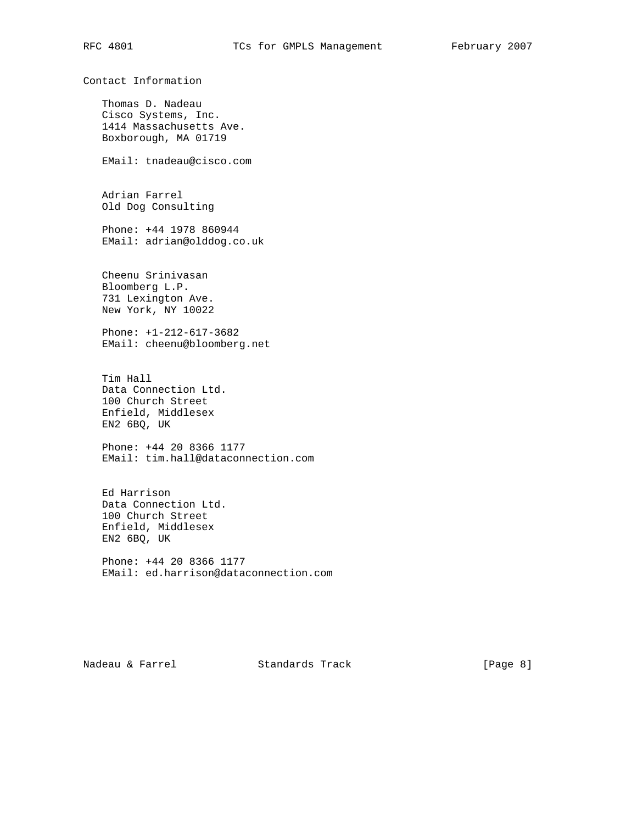Contact Information Thomas D. Nadeau Cisco Systems, Inc. 1414 Massachusetts Ave. Boxborough, MA 01719 EMail: tnadeau@cisco.com Adrian Farrel Old Dog Consulting Phone: +44 1978 860944 EMail: adrian@olddog.co.uk Cheenu Srinivasan Bloomberg L.P. 731 Lexington Ave. New York, NY 10022 Phone: +1-212-617-3682 EMail: cheenu@bloomberg.net Tim Hall Data Connection Ltd. 100 Church Street Enfield, Middlesex EN2 6BQ, UK Phone: +44 20 8366 1177 EMail: tim.hall@dataconnection.com Ed Harrison Data Connection Ltd. 100 Church Street Enfield, Middlesex EN2 6BQ, UK Phone: +44 20 8366 1177 EMail: ed.harrison@dataconnection.com

Nadeau & Farrel Standards Track (Page 8)